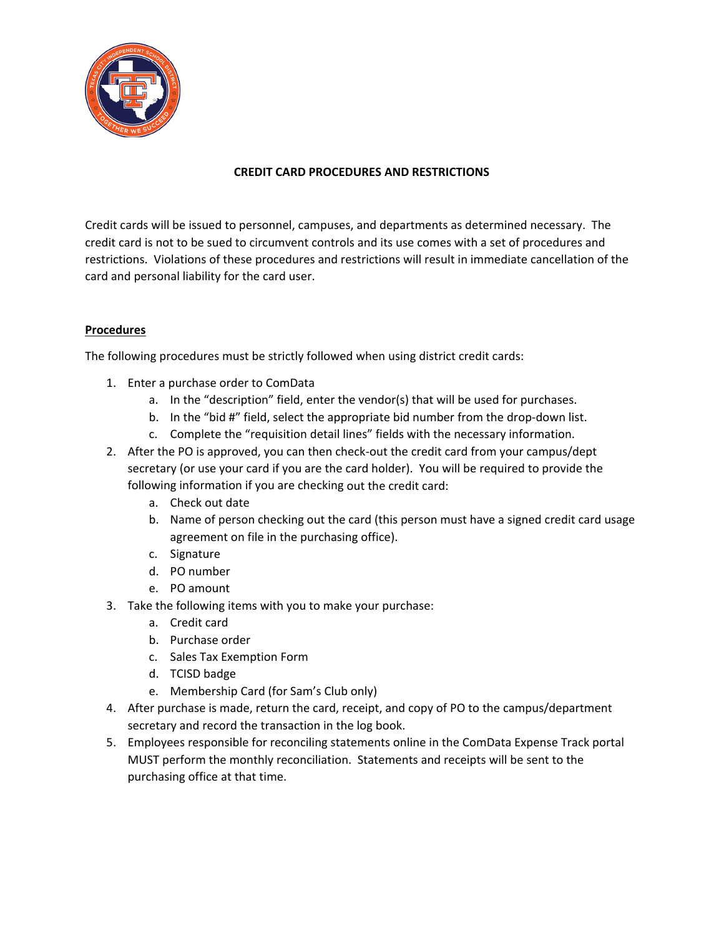

# **CREDIT CARD PROCEDURES AND RESTRICTIONS**

Credit cards will be issued to personnel, campuses, and departments as determined necessary. The credit card is not to be sued to circumvent controls and its use comes with a set of procedures and restrictions. Violations of these procedures and restrictions will result in immediate cancellation of the card and personal liability for the card user.

# **Procedures**

The following procedures must be strictly followed when using district credit cards:

- 1. Enter a purchase order to ComData
	- a. In the "description" field, enter the vendor(s) that will be used for purchases.
	- b. In the "bid #" field, select the appropriate bid number from the drop-down list.
	- c. Complete the "requisition detail lines" fields with the necessary information.
- 2. After the PO is approved, you can then check-out the credit card from your campus/dept secretary (or use your card if you are the card holder). You will be required to provide the following information if you are checking out the credit card:
	- a. Check out date
	- b. Name of person checking out the card (this person must have a signed credit card usage agreement on file in the purchasing office).
	- c. Signature
	- d. PO number
	- e. PO amount
- 3. Take the following items with you to make your purchase:
	- a. Credit card
	- b. Purchase order
	- c. Sales Tax Exemption Form
	- d. TCISD badge
	- e. Membership Card (for Sam's Club only)
- 4. After purchase is made, return the card, receipt, and copy of PO to the campus/department secretary and record the transaction in the log book.
- 5. Employees responsible for reconciling statements online in the ComData Expense Track portal MUST perform the monthly reconciliation. Statements and receipts will be sent to the purchasing office at that time.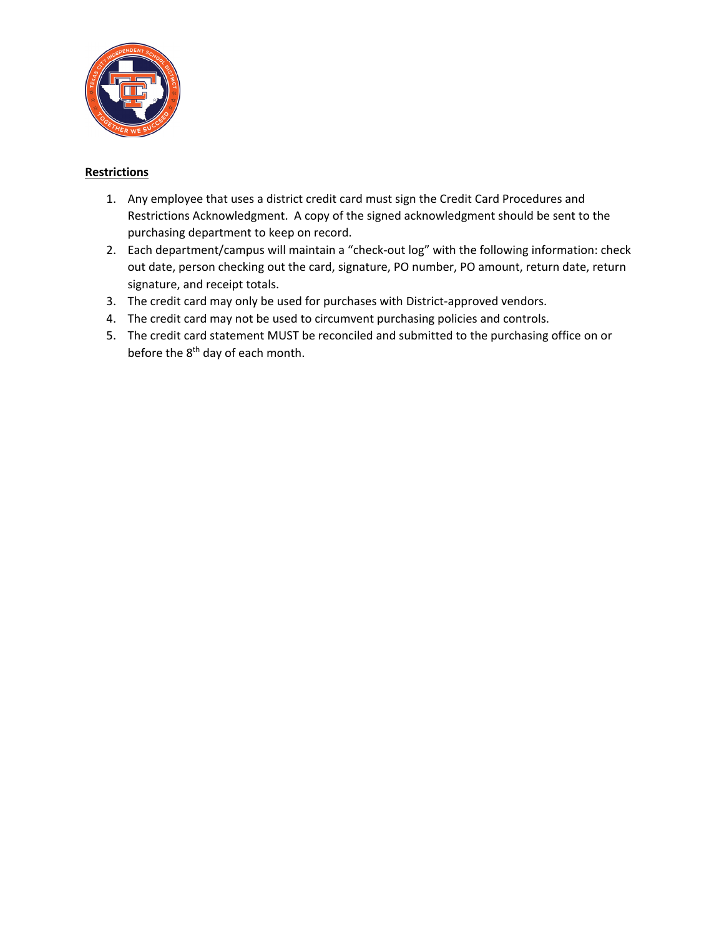

### **Restrictions**

- 1. Any employee that uses a district credit card must sign the Credit Card Procedures and Restrictions Acknowledgment. A copy of the signed acknowledgment should be sent to the purchasing department to keep on record.
- 2. Each department/campus will maintain a "check-out log" with the following information: check out date, person checking out the card, signature, PO number, PO amount, return date, return signature, and receipt totals.
- 3. The credit card may only be used for purchases with District-approved vendors.
- 4. The credit card may not be used to circumvent purchasing policies and controls.
- 5. The credit card statement MUST be reconciled and submitted to the purchasing office on or before the 8<sup>th</sup> day of each month.